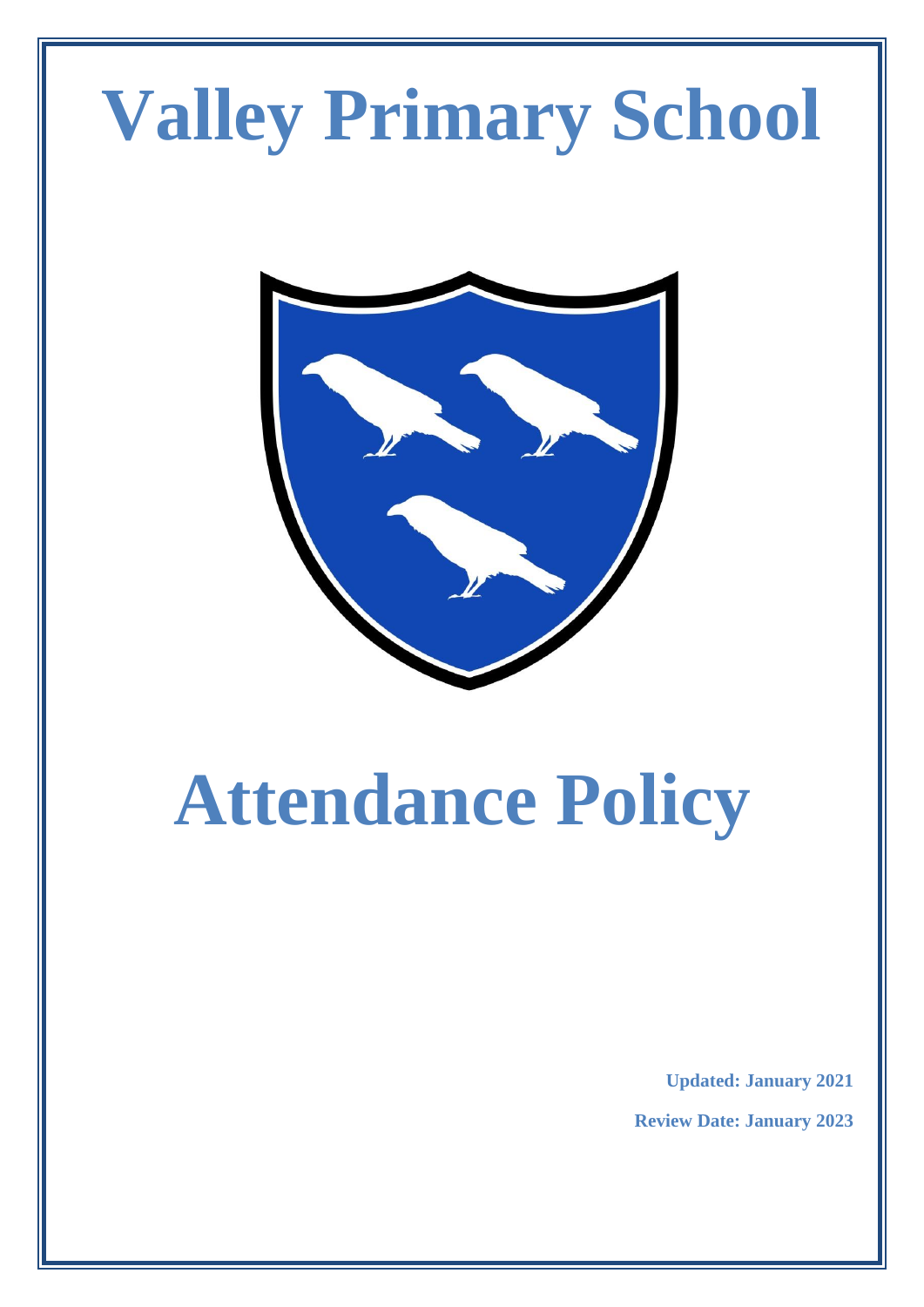# **Valley Primary School**



# **Attendance Policy**

**Updated: January 2021**

**Review Date: January 2023**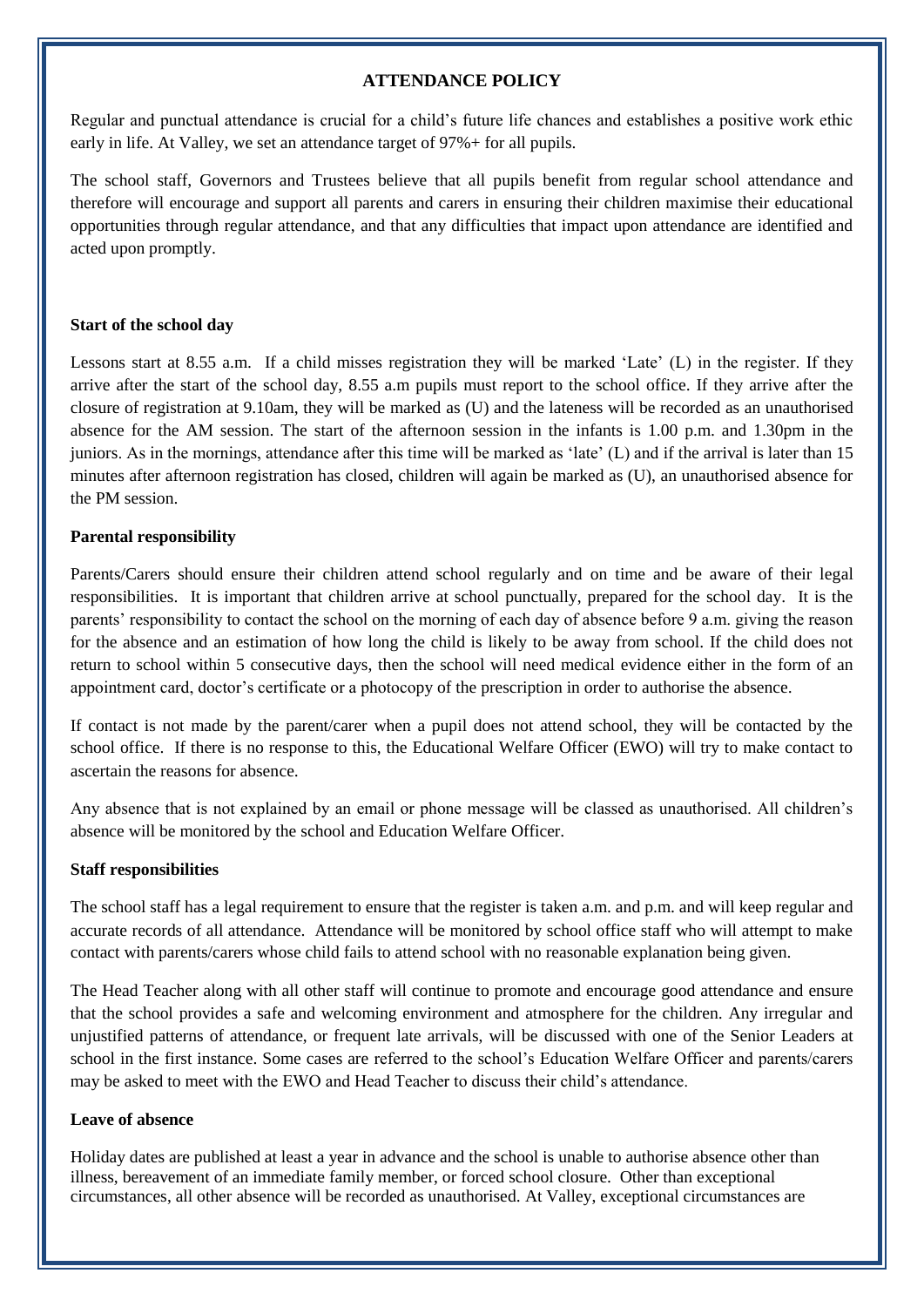## **ATTENDANCE POLICY**

Regular and punctual attendance is crucial for a child's future life chances and establishes a positive work ethic early in life. At Valley, we set an attendance target of 97%+ for all pupils.

The school staff, Governors and Trustees believe that all pupils benefit from regular school attendance and therefore will encourage and support all parents and carers in ensuring their children maximise their educational opportunities through regular attendance, and that any difficulties that impact upon attendance are identified and acted upon promptly.

#### **Start of the school day**

Lessons start at 8.55 a.m. If a child misses registration they will be marked 'Late' (L) in the register. If they arrive after the start of the school day, 8.55 a.m pupils must report to the school office. If they arrive after the closure of registration at 9.10am, they will be marked as (U) and the lateness will be recorded as an unauthorised absence for the AM session. The start of the afternoon session in the infants is 1.00 p.m. and 1.30pm in the juniors. As in the mornings, attendance after this time will be marked as 'late' (L) and if the arrival is later than 15 minutes after afternoon registration has closed, children will again be marked as (U), an unauthorised absence for the PM session.

#### **Parental responsibility**

Parents/Carers should ensure their children attend school regularly and on time and be aware of their legal responsibilities. It is important that children arrive at school punctually, prepared for the school day. It is the parents' responsibility to contact the school on the morning of each day of absence before 9 a.m. giving the reason for the absence and an estimation of how long the child is likely to be away from school. If the child does not return to school within 5 consecutive days, then the school will need medical evidence either in the form of an appointment card, doctor's certificate or a photocopy of the prescription in order to authorise the absence.

If contact is not made by the parent/carer when a pupil does not attend school, they will be contacted by the school office. If there is no response to this, the Educational Welfare Officer (EWO) will try to make contact to ascertain the reasons for absence.

Any absence that is not explained by an email or phone message will be classed as unauthorised. All children's absence will be monitored by the school and Education Welfare Officer.

### **Staff responsibilities**

The school staff has a legal requirement to ensure that the register is taken a.m. and p.m. and will keep regular and accurate records of all attendance. Attendance will be monitored by school office staff who will attempt to make contact with parents/carers whose child fails to attend school with no reasonable explanation being given.

The Head Teacher along with all other staff will continue to promote and encourage good attendance and ensure that the school provides a safe and welcoming environment and atmosphere for the children. Any irregular and unjustified patterns of attendance, or frequent late arrivals, will be discussed with one of the Senior Leaders at school in the first instance. Some cases are referred to the school's Education Welfare Officer and parents/carers may be asked to meet with the EWO and Head Teacher to discuss their child's attendance.

#### **Leave of absence**

Holiday dates are published at least a year in advance and the school is unable to authorise absence other than illness, bereavement of an immediate family member, or forced school closure. Other than exceptional circumstances, all other absence will be recorded as unauthorised. At Valley, exceptional circumstances are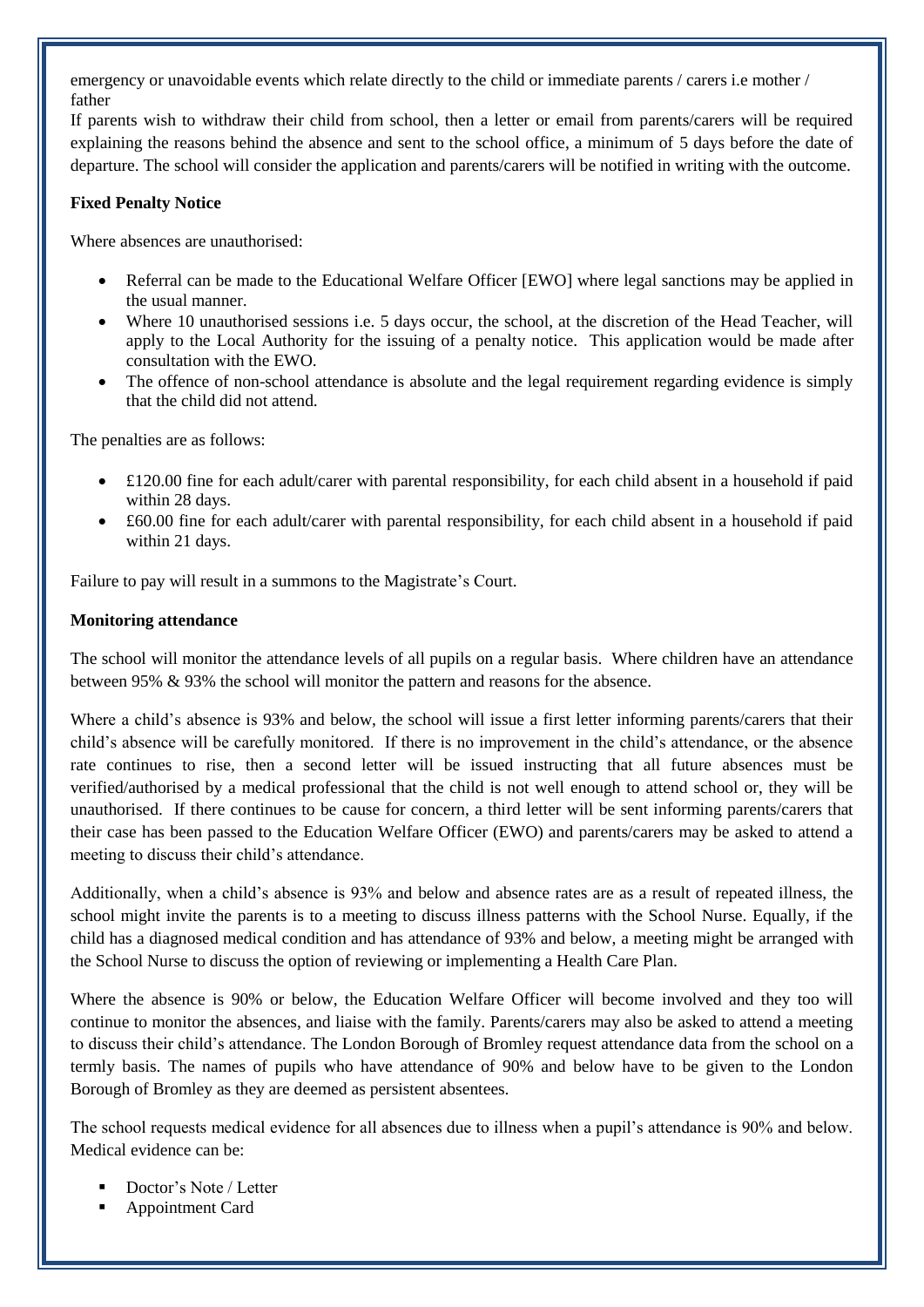emergency or unavoidable events which relate directly to the child or immediate parents / carers i.e mother / father

If parents wish to withdraw their child from school, then a letter or email from parents/carers will be required explaining the reasons behind the absence and sent to the school office, a minimum of 5 days before the date of departure. The school will consider the application and parents/carers will be notified in writing with the outcome.

### **Fixed Penalty Notice**

Where absences are unauthorised:

- Referral can be made to the Educational Welfare Officer [EWO] where legal sanctions may be applied in the usual manner.
- Where 10 unauthorised sessions i.e. 5 days occur, the school, at the discretion of the Head Teacher, will apply to the Local Authority for the issuing of a penalty notice. This application would be made after consultation with the EWO.
- The offence of non-school attendance is absolute and the legal requirement regarding evidence is simply that the child did not attend.

The penalties are as follows:

- £120.00 fine for each adult/carer with parental responsibility, for each child absent in a household if paid within 28 days.
- £60.00 fine for each adult/carer with parental responsibility, for each child absent in a household if paid within 21 days.

Failure to pay will result in a summons to the Magistrate's Court.

#### **Monitoring attendance**

The school will monitor the attendance levels of all pupils on a regular basis. Where children have an attendance between 95% & 93% the school will monitor the pattern and reasons for the absence.

Where a child's absence is 93% and below, the school will issue a first letter informing parents/carers that their child's absence will be carefully monitored. If there is no improvement in the child's attendance, or the absence rate continues to rise, then a second letter will be issued instructing that all future absences must be verified/authorised by a medical professional that the child is not well enough to attend school or, they will be unauthorised. If there continues to be cause for concern, a third letter will be sent informing parents/carers that their case has been passed to the Education Welfare Officer (EWO) and parents/carers may be asked to attend a meeting to discuss their child's attendance.

Additionally, when a child's absence is 93% and below and absence rates are as a result of repeated illness, the school might invite the parents is to a meeting to discuss illness patterns with the School Nurse. Equally, if the child has a diagnosed medical condition and has attendance of 93% and below, a meeting might be arranged with the School Nurse to discuss the option of reviewing or implementing a Health Care Plan.

Where the absence is 90% or below, the Education Welfare Officer will become involved and they too will continue to monitor the absences, and liaise with the family. Parents/carers may also be asked to attend a meeting to discuss their child's attendance. The London Borough of Bromley request attendance data from the school on a termly basis. The names of pupils who have attendance of 90% and below have to be given to the London Borough of Bromley as they are deemed as persistent absentees.

The school requests medical evidence for all absences due to illness when a pupil's attendance is 90% and below. Medical evidence can be:

- Doctor's Note / Letter
- Appointment Card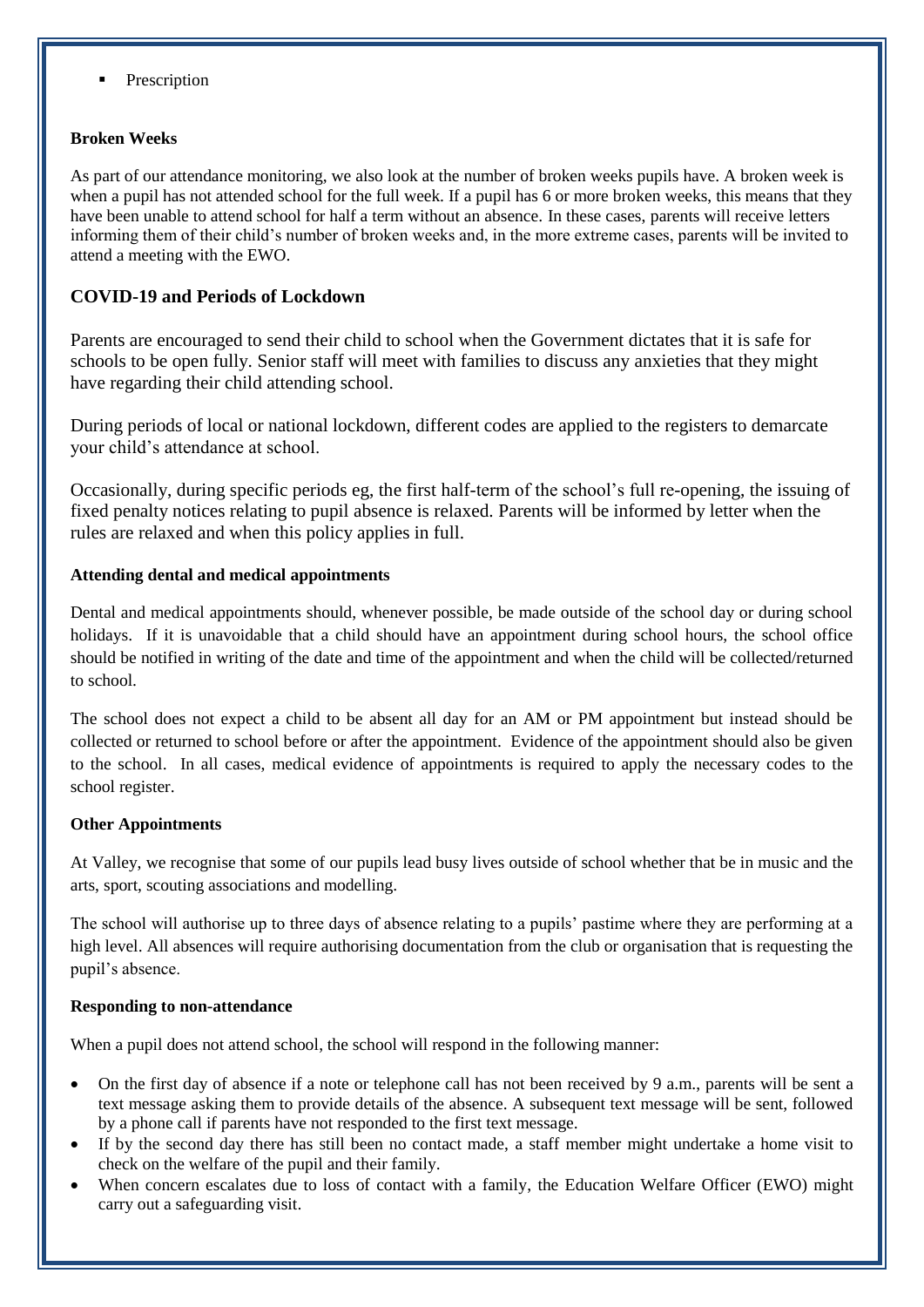Prescription

## **Broken Weeks**

As part of our attendance monitoring, we also look at the number of broken weeks pupils have. A broken week is when a pupil has not attended school for the full week. If a pupil has 6 or more broken weeks, this means that they have been unable to attend school for half a term without an absence. In these cases, parents will receive letters informing them of their child's number of broken weeks and, in the more extreme cases, parents will be invited to attend a meeting with the EWO.

# **COVID-19 and Periods of Lockdown**

Parents are encouraged to send their child to school when the Government dictates that it is safe for schools to be open fully. Senior staff will meet with families to discuss any anxieties that they might have regarding their child attending school.

During periods of local or national lockdown, different codes are applied to the registers to demarcate your child's attendance at school.

Occasionally, during specific periods eg, the first half-term of the school's full re-opening, the issuing of fixed penalty notices relating to pupil absence is relaxed. Parents will be informed by letter when the rules are relaxed and when this policy applies in full.

# **Attending dental and medical appointments**

Dental and medical appointments should, whenever possible, be made outside of the school day or during school holidays. If it is unavoidable that a child should have an appointment during school hours, the school office should be notified in writing of the date and time of the appointment and when the child will be collected/returned to school.

The school does not expect a child to be absent all day for an AM or PM appointment but instead should be collected or returned to school before or after the appointment. Evidence of the appointment should also be given to the school. In all cases, medical evidence of appointments is required to apply the necessary codes to the school register.

### **Other Appointments**

At Valley, we recognise that some of our pupils lead busy lives outside of school whether that be in music and the arts, sport, scouting associations and modelling.

The school will authorise up to three days of absence relating to a pupils' pastime where they are performing at a high level. All absences will require authorising documentation from the club or organisation that is requesting the pupil's absence.

### **Responding to non-attendance**

When a pupil does not attend school, the school will respond in the following manner:

- On the first day of absence if a note or telephone call has not been received by 9 a.m., parents will be sent a text message asking them to provide details of the absence. A subsequent text message will be sent, followed by a phone call if parents have not responded to the first text message.
- If by the second day there has still been no contact made, a staff member might undertake a home visit to check on the welfare of the pupil and their family.
- When concern escalates due to loss of contact with a family, the Education Welfare Officer (EWO) might carry out a safeguarding visit.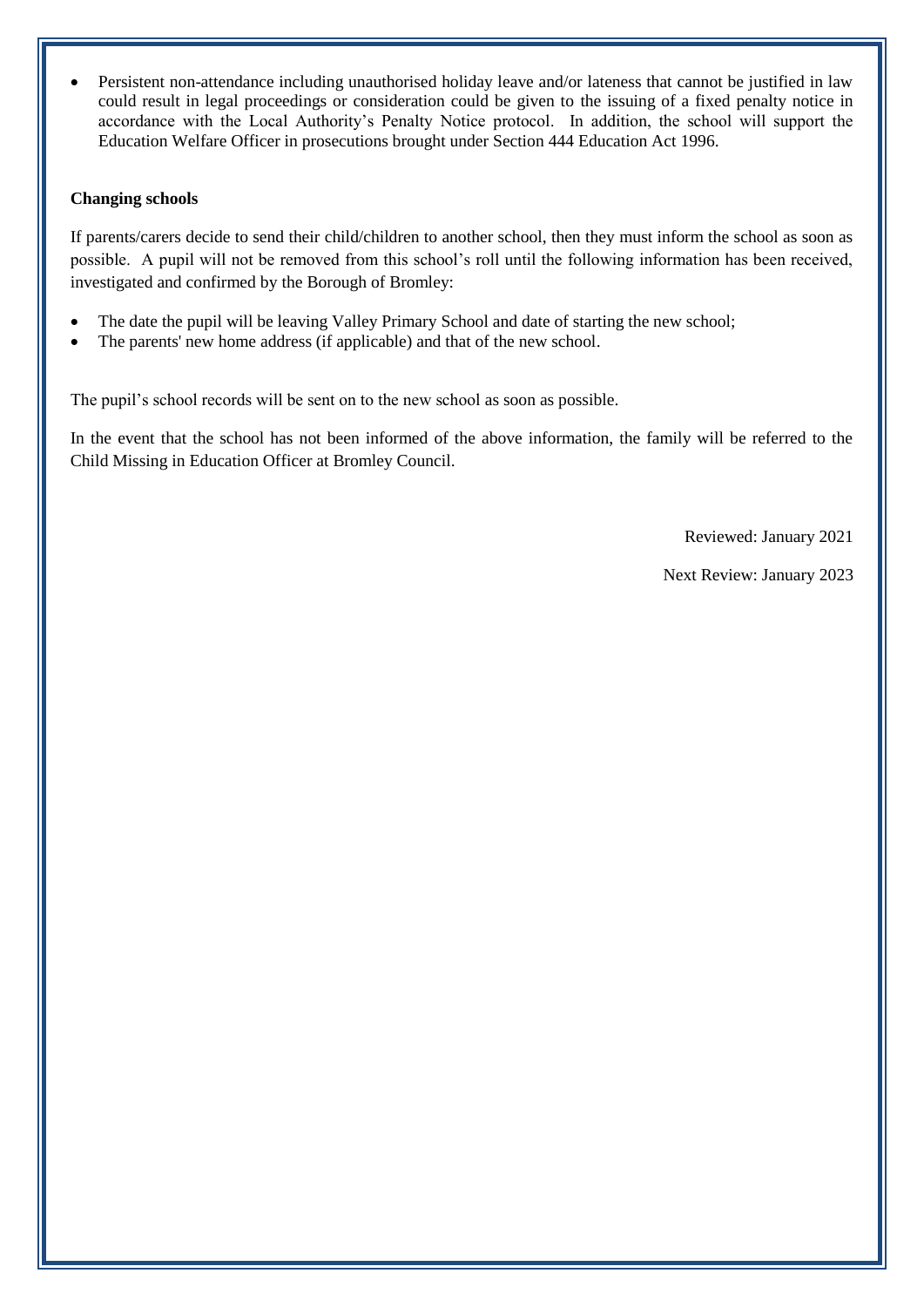• Persistent non-attendance including unauthorised holiday leave and/or lateness that cannot be justified in law could result in legal proceedings or consideration could be given to the issuing of a fixed penalty notice in accordance with the Local Authority's Penalty Notice protocol. In addition, the school will support the Education Welfare Officer in prosecutions brought under Section 444 Education Act 1996.

#### **Changing schools**

If parents/carers decide to send their child/children to another school, then they must inform the school as soon as possible. A pupil will not be removed from this school's roll until the following information has been received, investigated and confirmed by the Borough of Bromley:

- The date the pupil will be leaving Valley Primary School and date of starting the new school;
- The parents' new home address (if applicable) and that of the new school.

The pupil's school records will be sent on to the new school as soon as possible.

In the event that the school has not been informed of the above information, the family will be referred to the Child Missing in Education Officer at Bromley Council.

Reviewed: January 2021

Next Review: January 2023